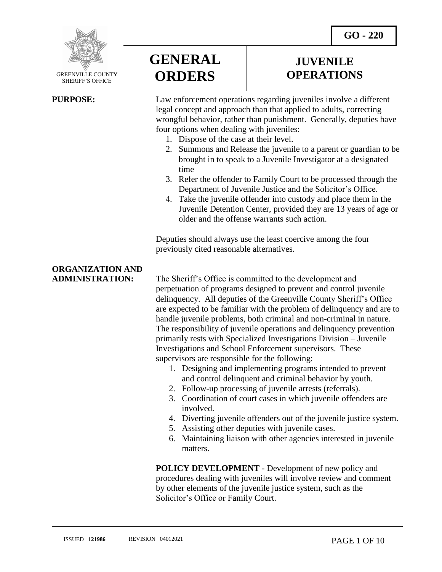**GO - 220** 



 GREENVILLE COUNTY SHERIFF'S OFFICE

 $\overline{a}$ 

# **GENERAL ORDERS**

# **JUVENILE OPERATIONS**

**PURPOSE:** Law enforcement operations regarding juveniles involve a different legal concept and approach than that applied to adults, correcting wrongful behavior, rather than punishment. Generally, deputies have four options when dealing with juveniles:

- 1. Dispose of the case at their level.
- 2. Summons and Release the juvenile to a parent or guardian to be brought in to speak to a Juvenile Investigator at a designated time
- 3. Refer the offender to Family Court to be processed through the Department of Juvenile Justice and the Solicitor's Office.
- 4. Take the juvenile offender into custody and place them in the Juvenile Detention Center, provided they are 13 years of age or older and the offense warrants such action.

Deputies should always use the least coercive among the four previously cited reasonable alternatives.

# **ORGANIZATION AND**

**ADMINISTRATION:** The Sheriff's Office is committed to the development and perpetuation of programs designed to prevent and control juvenile delinquency. All deputies of the Greenville County Sheriff's Office are expected to be familiar with the problem of delinquency and are to handle juvenile problems, both criminal and non-criminal in nature. The responsibility of juvenile operations and delinquency prevention primarily rests with Specialized Investigations Division – Juvenile Investigations and School Enforcement supervisors. These supervisors are responsible for the following:

- 1. Designing and implementing programs intended to prevent and control delinquent and criminal behavior by youth.
- 2. Follow-up processing of juvenile arrests (referrals).
- 3. Coordination of court cases in which juvenile offenders are involved.
- 4. Diverting juvenile offenders out of the juvenile justice system.
- 5. Assisting other deputies with juvenile cases.
- 6. Maintaining liaison with other agencies interested in juvenile matters.

**POLICY DEVELOPMENT** - Development of new policy and procedures dealing with juveniles will involve review and comment by other elements of the juvenile justice system, such as the Solicitor's Office or Family Court.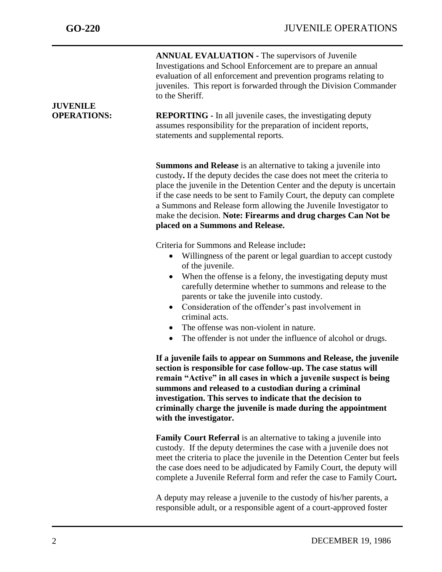| <b>JUVENILE</b><br><b>OPERATIONS:</b> | <b>ANNUAL EVALUATION - The supervisors of Juvenile</b><br>Investigations and School Enforcement are to prepare an annual<br>evaluation of all enforcement and prevention programs relating to<br>juveniles. This report is forwarded through the Division Commander<br>to the Sheriff.<br><b>REPORTING</b> - In all juvenile cases, the investigating deputy                                                                                                                                             |
|---------------------------------------|----------------------------------------------------------------------------------------------------------------------------------------------------------------------------------------------------------------------------------------------------------------------------------------------------------------------------------------------------------------------------------------------------------------------------------------------------------------------------------------------------------|
|                                       | assumes responsibility for the preparation of incident reports,<br>statements and supplemental reports.                                                                                                                                                                                                                                                                                                                                                                                                  |
|                                       | <b>Summons and Release</b> is an alternative to taking a juvenile into<br>custody. If the deputy decides the case does not meet the criteria to<br>place the juvenile in the Detention Center and the deputy is uncertain<br>if the case needs to be sent to Family Court, the deputy can complete<br>a Summons and Release form allowing the Juvenile Investigator to<br>make the decision. Note: Firearms and drug charges Can Not be<br>placed on a Summons and Release.                              |
|                                       | Criteria for Summons and Release include:<br>Willingness of the parent or legal guardian to accept custody<br>of the juvenile.<br>When the offense is a felony, the investigating deputy must<br>carefully determine whether to summons and release to the<br>parents or take the juvenile into custody.<br>Consideration of the offender's past involvement in<br>criminal acts.<br>The offense was non-violent in nature.<br>$\bullet$<br>The offender is not under the influence of alcohol or drugs. |
|                                       | If a juvenile fails to appear on Summons and Release, the juvenile<br>section is responsible for case follow-up. The case status will<br>remain "Active" in all cases in which a juvenile suspect is being<br>summons and released to a custodian during a criminal<br>investigation. This serves to indicate that the decision to<br>criminally charge the juvenile is made during the appointment<br>with the investigator.                                                                            |
|                                       | <b>Family Court Referral</b> is an alternative to taking a juvenile into<br>custody. If the deputy determines the case with a juvenile does not<br>meet the criteria to place the juvenile in the Detention Center but feels<br>the case does need to be adjudicated by Family Court, the deputy will<br>complete a Juvenile Referral form and refer the case to Family Court.                                                                                                                           |
|                                       | A deputy may release a juvenile to the custody of his/her parents, a<br>responsible adult, or a responsible agent of a court-approved foster                                                                                                                                                                                                                                                                                                                                                             |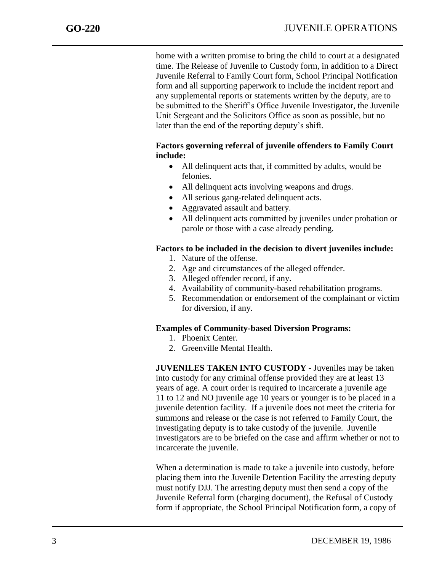home with a written promise to bring the child to court at a designated time. The Release of Juvenile to Custody form, in addition to a Direct Juvenile Referral to Family Court form, School Principal Notification form and all supporting paperwork to include the incident report and any supplemental reports or statements written by the deputy, are to be submitted to the Sheriff's Office Juvenile Investigator, the Juvenile Unit Sergeant and the Solicitors Office as soon as possible, but no later than the end of the reporting deputy's shift.

# **Factors governing referral of juvenile offenders to Family Court include:**

- All delinquent acts that, if committed by adults, would be felonies.
- All delinquent acts involving weapons and drugs.
- All serious gang-related delinquent acts.
- Aggravated assault and battery.
- All delinquent acts committed by juveniles under probation or parole or those with a case already pending.

## **Factors to be included in the decision to divert juveniles include:**

- 1. Nature of the offense.
- 2. Age and circumstances of the alleged offender.
- 3. Alleged offender record, if any.
- 4. Availability of community-based rehabilitation programs.
- 5. Recommendation or endorsement of the complainant or victim for diversion, if any.

#### **Examples of Community-based Diversion Programs:**

- 1. Phoenix Center.
- 2. Greenville Mental Health.

**JUVENILES TAKEN INTO CUSTODY -** Juveniles may be taken into custody for any criminal offense provided they are at least 13 years of age. A court order is required to incarcerate a juvenile age 11 to 12 and NO juvenile age 10 years or younger is to be placed in a juvenile detention facility. If a juvenile does not meet the criteria for summons and release or the case is not referred to Family Court, the investigating deputy is to take custody of the juvenile. Juvenile investigators are to be briefed on the case and affirm whether or not to incarcerate the juvenile.

When a determination is made to take a juvenile into custody, before placing them into the Juvenile Detention Facility the arresting deputy must notify DJJ. The arresting deputy must then send a copy of the Juvenile Referral form (charging document), the Refusal of Custody form if appropriate, the School Principal Notification form, a copy of

j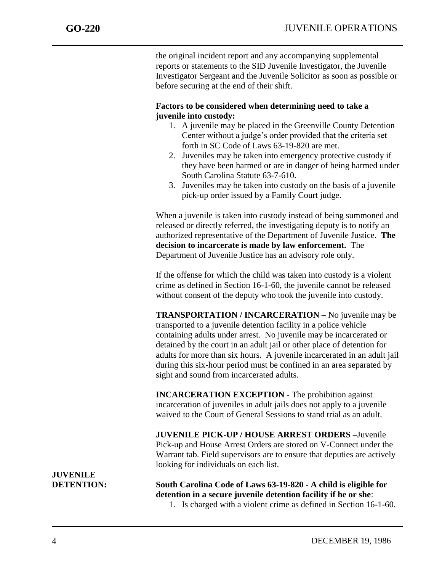the original incident report and any accompanying supplemental reports or statements to the SID Juvenile Investigator, the Juvenile Investigator Sergeant and the Juvenile Solicitor as soon as possible or before securing at the end of their shift.

# **Factors to be considered when determining need to take a juvenile into custody:**

- 1. A juvenile may be placed in the Greenville County Detention Center without a judge's order provided that the criteria set forth in SC Code of Laws 63-19-820 are met.
- 2. Juveniles may be taken into emergency protective custody if they have been harmed or are in danger of being harmed under South Carolina Statute 63-7-610.
- 3. Juveniles may be taken into custody on the basis of a juvenile pick-up order issued by a Family Court judge.

When a juvenile is taken into custody instead of being summoned and released or directly referred, the investigating deputy is to notify an authorized representative of the Department of Juvenile Justice. **The decision to incarcerate is made by law enforcement.** The Department of Juvenile Justice has an advisory role only.

If the offense for which the child was taken into custody is a violent crime as defined in Section 16-1-60, the juvenile cannot be released without consent of the deputy who took the juvenile into custody.

**TRANSPORTATION / INCARCERATION –** No juvenile may be transported to a juvenile detention facility in a police vehicle containing adults under arrest. No juvenile may be incarcerated or detained by the court in an adult jail or other place of detention for adults for more than six hours. A juvenile incarcerated in an adult jail during this six-hour period must be confined in an area separated by sight and sound from incarcerated adults.

**INCARCERATION EXCEPTION -** The prohibition against incarceration of juveniles in adult jails does not apply to a juvenile waived to the Court of General Sessions to stand trial as an adult.

**JUVENILE PICK-UP / HOUSE ARREST ORDERS –**Juvenile Pick-up and House Arrest Orders are stored on V-Connect under the Warrant tab. Field supervisors are to ensure that deputies are actively looking for individuals on each list.

**DETENTION: South Carolina Code of Laws 63-19-820 - A child is eligible for detention in a secure juvenile detention facility if he or she**:

1. Is charged with a violent crime as defined in Section 16-1-60.

**JUVENILE**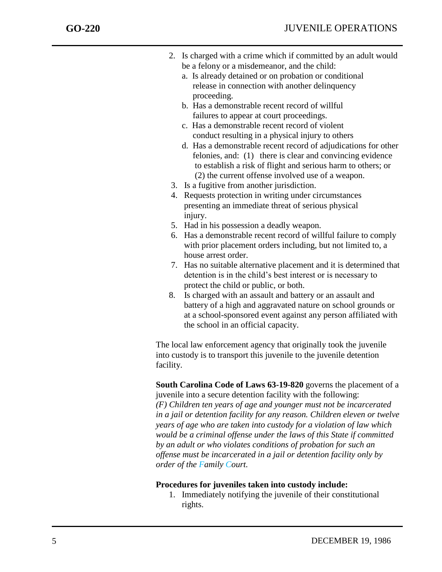- 2. Is charged with a crime which if committed by an adult would be a felony or a misdemeanor, and the child:
	- a. Is already detained or on probation or conditional release in connection with another delinquency proceeding.
	- b. Has a demonstrable recent record of willful failures to appear at court proceedings.
	- c. Has a demonstrable recent record of violent conduct resulting in a physical injury to others
	- d. Has a demonstrable recent record of adjudications for other felonies, and: (1) there is clear and convincing evidence to establish a risk of flight and serious harm to others; or (2) the current offense involved use of a weapon.
- 3. Is a fugitive from another jurisdiction.
- 4. Requests protection in writing under circumstances presenting an immediate threat of serious physical injury.
- 5. Had in his possession a deadly weapon.
- 6. Has a demonstrable recent record of willful failure to comply with prior placement orders including, but not limited to, a house arrest order.
- 7. Has no suitable alternative placement and it is determined that detention is in the child's best interest or is necessary to protect the child or public, or both.
- 8. Is charged with an assault and battery or an assault and battery of a high and aggravated nature on school grounds or at a school-sponsored event against any person affiliated with the school in an official capacity.

The local law enforcement agency that originally took the juvenile into custody is to transport this juvenile to the juvenile detention facility.

**South Carolina Code of Laws 63-19-820** governs the placement of a juvenile into a secure detention facility with the following: *(F) Children ten years of age and younger must not be incarcerated in a jail or detention facility for any reason. Children eleven or twelve years of age who are taken into custody for a violation of law which would be a criminal offense under the laws of this State if committed by an adult or who violates conditions of probation for such an offense must be incarcerated in a jail or detention facility only by order of the Family Court.*

# **Procedures for juveniles taken into custody include:**

1. Immediately notifying the juvenile of their constitutional rights.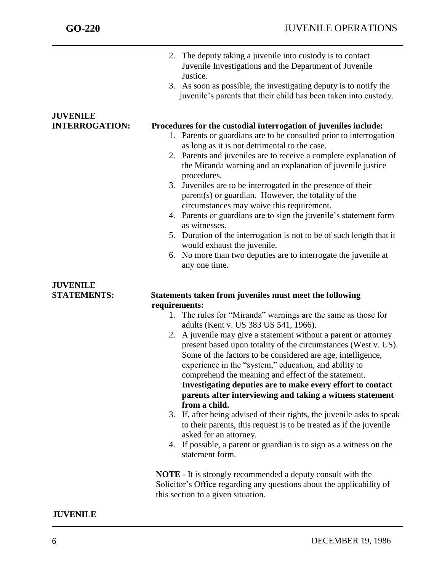|                       | 2. The deputy taking a juvenile into custody is to contact<br>Juvenile Investigations and the Department of Juvenile<br>Justice.<br>3. As soon as possible, the investigating deputy is to notify the<br>juvenile's parents that their child has been taken into custody.                                                                                                                                                                                                                                                                                                                                                                                                                                                                                                                      |
|-----------------------|------------------------------------------------------------------------------------------------------------------------------------------------------------------------------------------------------------------------------------------------------------------------------------------------------------------------------------------------------------------------------------------------------------------------------------------------------------------------------------------------------------------------------------------------------------------------------------------------------------------------------------------------------------------------------------------------------------------------------------------------------------------------------------------------|
| <b>JUVENILE</b>       |                                                                                                                                                                                                                                                                                                                                                                                                                                                                                                                                                                                                                                                                                                                                                                                                |
| <b>INTERROGATION:</b> | Procedures for the custodial interrogation of juveniles include:<br>1. Parents or guardians are to be consulted prior to interrogation<br>as long as it is not detrimental to the case.<br>2. Parents and juveniles are to receive a complete explanation of<br>the Miranda warning and an explanation of juvenile justice<br>procedures.<br>3. Juveniles are to be interrogated in the presence of their<br>parent(s) or guardian. However, the totality of the<br>circumstances may waive this requirement.<br>4. Parents or guardians are to sign the juvenile's statement form<br>as witnesses.<br>5. Duration of the interrogation is not to be of such length that it<br>would exhaust the juvenile.<br>6. No more than two deputies are to interrogate the juvenile at<br>any one time. |
| <b>JUVENILE</b>       |                                                                                                                                                                                                                                                                                                                                                                                                                                                                                                                                                                                                                                                                                                                                                                                                |
| <b>STATEMENTS:</b>    | Statements taken from juveniles must meet the following                                                                                                                                                                                                                                                                                                                                                                                                                                                                                                                                                                                                                                                                                                                                        |
|                       | requirements:                                                                                                                                                                                                                                                                                                                                                                                                                                                                                                                                                                                                                                                                                                                                                                                  |
|                       | 1. The rules for "Miranda" warnings are the same as those for<br>adults (Kent v. US 383 US 541, 1966).                                                                                                                                                                                                                                                                                                                                                                                                                                                                                                                                                                                                                                                                                         |
|                       | 2. A juvenile may give a statement without a parent or attorney<br>present based upon totality of the circumstances (West v. US).<br>Some of the factors to be considered are age, intelligence,<br>experience in the "system," education, and ability to<br>comprehend the meaning and effect of the statement.<br>Investigating deputies are to make every effort to contact<br>parents after interviewing and taking a witness statement<br>from a child.                                                                                                                                                                                                                                                                                                                                   |
|                       | 3. If, after being advised of their rights, the juvenile asks to speak<br>to their parents, this request is to be treated as if the juvenile<br>asked for an attorney.                                                                                                                                                                                                                                                                                                                                                                                                                                                                                                                                                                                                                         |
|                       | 4. If possible, a parent or guardian is to sign as a witness on the<br>statement form.                                                                                                                                                                                                                                                                                                                                                                                                                                                                                                                                                                                                                                                                                                         |
|                       | <b>NOTE</b> - It is strongly recommended a deputy consult with the<br>Solicitor's Office regarding any questions about the applicability of<br>this section to a given situation.                                                                                                                                                                                                                                                                                                                                                                                                                                                                                                                                                                                                              |

# **JUVENILE**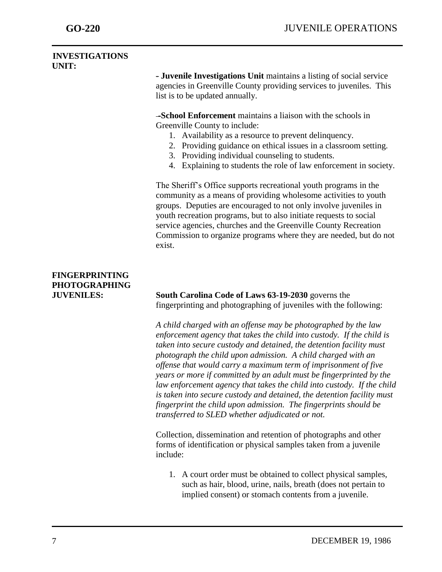### **INVESTIGATIONS UNIT:**

**- Juvenile Investigations Unit** maintains a listing of social service agencies in Greenville County providing services to juveniles. This list is to be updated annually.

**-School Enforcement** maintains a liaison with the schools in Greenville County to include:

- 1. Availability as a resource to prevent delinquency.
- 2. Providing guidance on ethical issues in a classroom setting.
- 3. Providing individual counseling to students.
- 4. Explaining to students the role of law enforcement in society.

The Sheriff's Office supports recreational youth programs in the community as a means of providing wholesome activities to youth groups. Deputies are encouraged to not only involve juveniles in youth recreation programs, but to also initiate requests to social service agencies, churches and the Greenville County Recreation Commission to organize programs where they are needed, but do not exist.

# **FINGERPRINTING PHOTOGRAPHING**

**JUVENILES: South Carolina Code of Laws 63-19-2030** governs the fingerprinting and photographing of juveniles with the following:

> *A child charged with an offense may be photographed by the law enforcement agency that takes the child into custody. If the child is taken into secure custody and detained, the detention facility must photograph the child upon admission. A child charged with an offense that would carry a maximum term of imprisonment of five years or more if committed by an adult must be fingerprinted by the law enforcement agency that takes the child into custody. If the child is taken into secure custody and detained, the detention facility must fingerprint the child upon admission. The fingerprints should be transferred to SLED whether adjudicated or not.*

Collection, dissemination and retention of photographs and other forms of identification or physical samples taken from a juvenile include:

1. A court order must be obtained to collect physical samples, such as hair, blood, urine, nails, breath (does not pertain to implied consent) or stomach contents from a juvenile.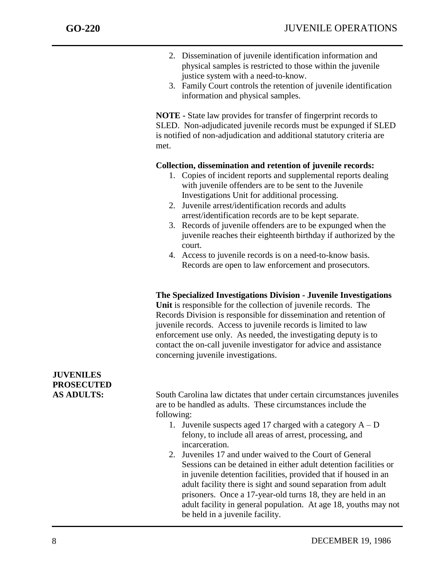- 2. Dissemination of juvenile identification information and physical samples is restricted to those within the juvenile justice system with a need-to-know.
- 3. Family Court controls the retention of juvenile identification information and physical samples.

**NOTE -** State law provides for transfer of fingerprint records to SLED. Non-adjudicated juvenile records must be expunged if SLED is notified of non-adjudication and additional statutory criteria are met.

## **Collection, dissemination and retention of juvenile records:**

- 1. Copies of incident reports and supplemental reports dealing with juvenile offenders are to be sent to the Juvenile Investigations Unit for additional processing.
- 2. Juvenile arrest/identification records and adults arrest/identification records are to be kept separate.
- 3. Records of juvenile offenders are to be expunged when the juvenile reaches their eighteenth birthday if authorized by the court.
- 4. Access to juvenile records is on a need-to-know basis. Records are open to law enforcement and prosecutors.

#### **The Specialized Investigations Division - Juvenile Investigations**

**Unit** is responsible for the collection of juvenile records. The Records Division is responsible for dissemination and retention of juvenile records. Access to juvenile records is limited to law enforcement use only. As needed, the investigating deputy is to contact the on-call juvenile investigator for advice and assistance concerning juvenile investigations.

# **JUVENILES PROSECUTED AS ADULTS:** South Carolina law dictates that under certain circumstances juveniles are to be handled as adults. These circumstances include the following: 1. Juvenile suspects aged 17 charged with a category  $A - D$ felony, to include all areas of arrest, processing, and incarceration. 2. Juveniles 17 and under waived to the Court of General Sessions can be detained in either adult detention facilities or in juvenile detention facilities, provided that if housed in an adult facility there is sight and sound separation from adult prisoners. Once a 17-year-old turns 18, they are held in an adult facility in general population. At age 18, youths may not

be held in a juvenile facility.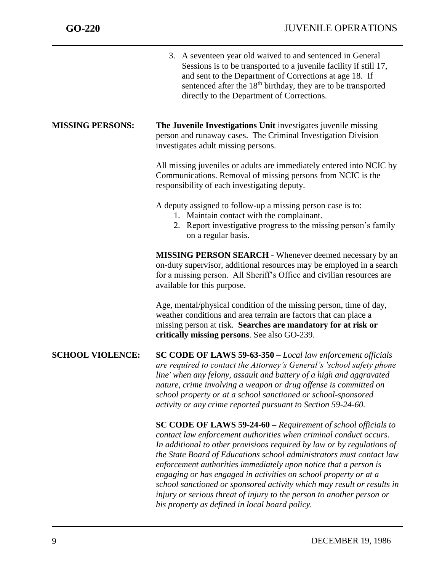|                         | 3. A seventeen year old waived to and sentenced in General<br>Sessions is to be transported to a juvenile facility if still 17,<br>and sent to the Department of Corrections at age 18. If<br>sentenced after the 18 <sup>th</sup> birthday, they are to be transported<br>directly to the Department of Corrections.                                                                                                                                                                                                                                                                  |
|-------------------------|----------------------------------------------------------------------------------------------------------------------------------------------------------------------------------------------------------------------------------------------------------------------------------------------------------------------------------------------------------------------------------------------------------------------------------------------------------------------------------------------------------------------------------------------------------------------------------------|
| <b>MISSING PERSONS:</b> | The Juvenile Investigations Unit investigates juvenile missing<br>person and runaway cases. The Criminal Investigation Division<br>investigates adult missing persons.                                                                                                                                                                                                                                                                                                                                                                                                                 |
|                         | All missing juveniles or adults are immediately entered into NCIC by<br>Communications. Removal of missing persons from NCIC is the<br>responsibility of each investigating deputy.                                                                                                                                                                                                                                                                                                                                                                                                    |
|                         | A deputy assigned to follow-up a missing person case is to:<br>1. Maintain contact with the complainant.<br>2. Report investigative progress to the missing person's family<br>on a regular basis.                                                                                                                                                                                                                                                                                                                                                                                     |
|                         | <b>MISSING PERSON SEARCH</b> - Whenever deemed necessary by an<br>on-duty supervisor, additional resources may be employed in a search<br>for a missing person. All Sheriff's Office and civilian resources are<br>available for this purpose.                                                                                                                                                                                                                                                                                                                                         |
|                         | Age, mental/physical condition of the missing person, time of day,<br>weather conditions and area terrain are factors that can place a<br>missing person at risk. Searches are mandatory for at risk or<br>critically missing persons. See also GO-239.                                                                                                                                                                                                                                                                                                                                |
| <b>SCHOOL VIOLENCE:</b> | SC CODE OF LAWS 59-63-350 - Local law enforcement officials<br>are required to contact the Attorney's General's 'school safety phone<br>line' when any felony, assault and battery of a high and aggravated<br>nature, crime involving a weapon or drug offense is committed on<br>school property or at a school sanctioned or school-sponsored<br>activity or any crime reported pursuant to Section 59-24-60.                                                                                                                                                                       |
|                         | <b>SC CODE OF LAWS 59-24-60</b> – Requirement of school officials to<br>contact law enforcement authorities when criminal conduct occurs.<br>In additional to other provisions required by law or by regulations of<br>the State Board of Educations school administrators must contact law<br>enforcement authorities immediately upon notice that a person is<br>engaging or has engaged in activities on school property or at a<br>school sanctioned or sponsored activity which may result or results in<br>injury or serious threat of injury to the person to another person or |

*his property as defined in local board policy.*